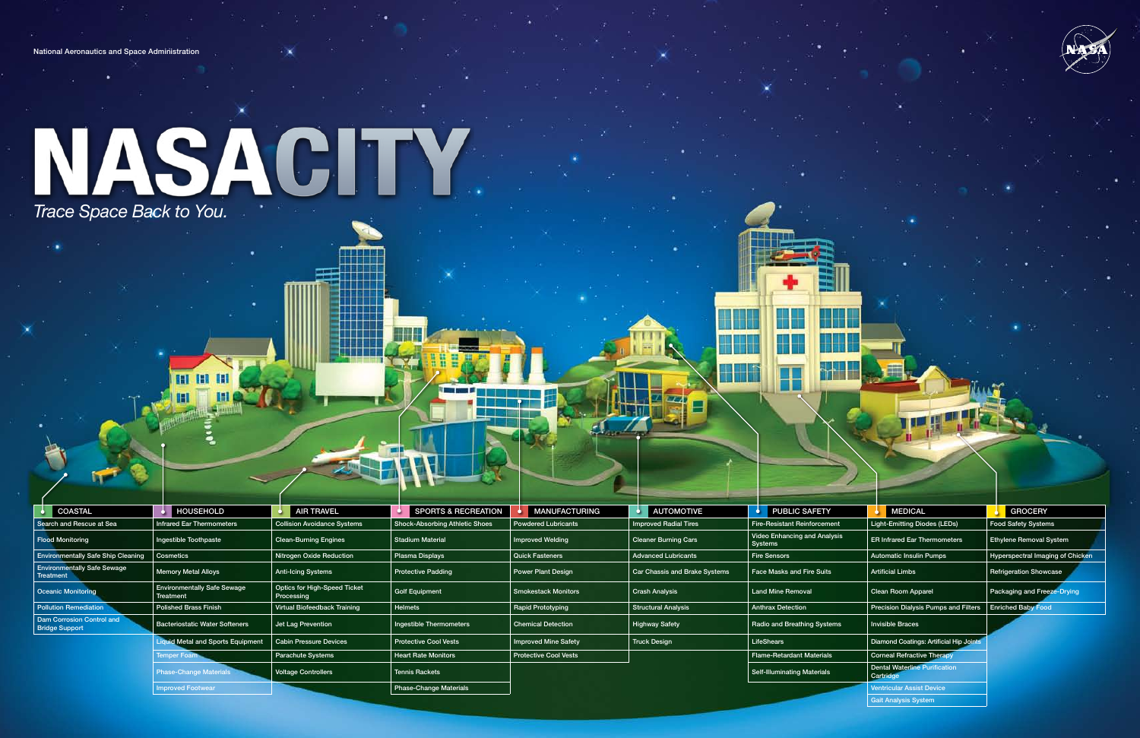| . .                                                |                                                 |                                            | <b>COLOR</b>                          |                              |                               |                                         |                                                   |                                  |
|----------------------------------------------------|-------------------------------------------------|--------------------------------------------|---------------------------------------|------------------------------|-------------------------------|-----------------------------------------|---------------------------------------------------|----------------------------------|
| <b>COASTAL</b>                                     | <b>HOUSEHOLD</b>                                | <b>AIR TRAVEL</b>                          | SPORTS & RECREATION                   | <b>MANUFACTURING</b>         | <b>AUTOMOTIVE</b>             | <b>PUBLIC SAFETY</b>                    | <b>MEDICAL</b>                                    | GROCERY                          |
| Search and Rescue at Sea                           | Infrared Ear Thermometers                       | <b>Collision Avoidance Systems</b>         | <b>Shock-Absorbing Athletic Shoes</b> | <b>Powdered Lubricants</b>   | <b>Improved Radial Tires</b>  | <b>Fire-Resistant Reinforcement</b>     | Light-Emitting Diodes (LEDs)                      | <b>Food Safety Systems</b>       |
| <b>Flood Monitoring</b>                            | Ingestible Toothpaste                           | <b>Clean-Burning Engines</b>               | <b>Stadium Material</b>               | <b>Improved Welding</b>      | <b>Cleaner Burning Cars</b>   | Video Enhancing and Analysis<br>Systems | <b>ER Infrared Ear Thermometers</b>               | <b>Ethylene Removal System</b>   |
| <b>Environmentally Safe Ship Cleaning</b>          | Cosmetics                                       | Nitrogen Oxide Reduction                   | Plasma Displays                       | <b>Quick Fasteners</b>       | <b>Advanced Lubricants</b>    | <b>Fire Sensors</b>                     | <b>Automatic Insulin Pumps</b>                    | Hyperspectral Imaging of Chicken |
| <b>Environmentally Safe Sewage</b><br>Treatment    | <b>Memory Metal Alloys</b>                      | Anti-Icing Systems                         | <b>Protective Padding</b>             | <b>Power Plant Design</b>    | Car Chassis and Brake Systems | <b>Face Masks and Fire Suits</b>        | <b>Artificial Limbs</b>                           | <b>Refrigeration Showcase</b>    |
| <b>Oceanic Monitoring</b>                          | <b>Environmentally Safe Sewage</b><br>Treatment | Optics for High-Speed Ticket<br>Processing | Golf Equipment                        | Smokestack Monitors          | <b>Crash Analysis</b>         | <b>Land Mine Removal</b>                | Clean Room Apparel                                | Packaging and Freeze-Drying      |
| <b>Pollution Remediation</b>                       | <b>Polished Brass Finish</b>                    | Virtual Biofeedback Training               | Helmets                               | <b>Rapid Prototyping</b>     | <b>Structural Analysis</b>    | <b>Anthrax Detection</b>                | Precision Dialysis Pumps and Filters              | <b>Enriched Baby Food</b>        |
| Dam Corrosion Control and<br><b>Bridge Support</b> | <b>Bacteriostatic Water Softeners</b>           | Jet Lag Prevention                         | Ingestible Thermometers               | <b>Chemical Detection</b>    | <b>Highway Safety</b>         | Radio and Breathing Systems             | <b>Invisible Braces</b>                           |                                  |
|                                                    | quid Metal and Sports Equipment                 | <b>Cabin Pressure Devices</b>              | <b>Protective Cool Vests</b>          | <b>Improved Mine Safety</b>  | <b>Truck Design</b>           | LifeShears                              | Diamond Coatings: Artificial Hip Joints           |                                  |
|                                                    | Temper Foam                                     | <b>Parachute Systems</b>                   | <b>Heart Rate Monitors</b>            | <b>Protective Cool Vests</b> |                               | <b>Flame-Retardant Materials</b>        | <b>Corneal Refractive Therapy</b>                 |                                  |
|                                                    | <b>Phase-Change Materials</b>                   | <b>Voltage Controllers</b>                 | <b>Tennis Rackets</b>                 |                              |                               | <b>Self-Illuminating Materials</b>      | <b>Dental Waterline Purification</b><br>Cartridge |                                  |
|                                                    | <b>Improved Footwear</b>                        |                                            | <b>Phase-Change Materials</b>         |                              |                               |                                         | <b>Ventricular Assist Device</b>                  |                                  |



Gait Analysis System

National Aeronautics and Space Administration

## *Trace Space Back to You.*

**BILBI**